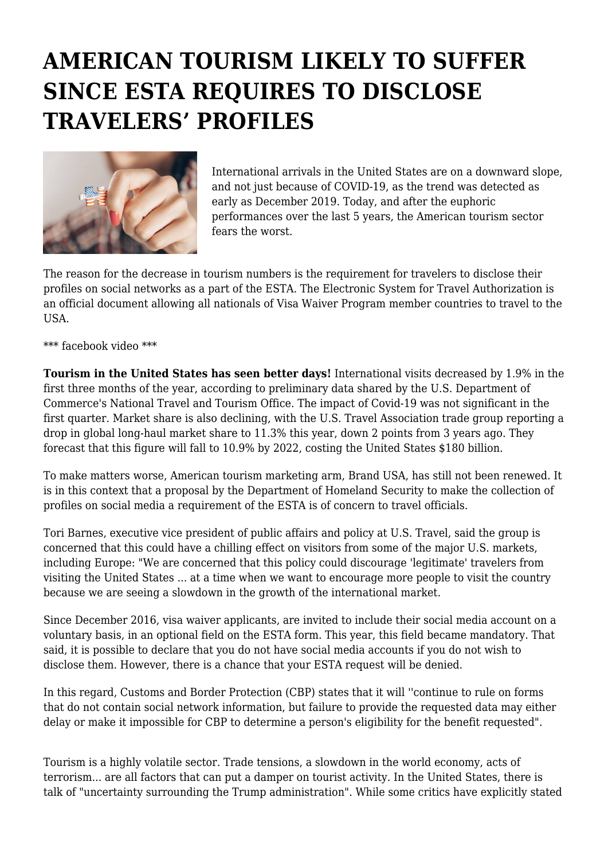## **AMERICAN TOURISM LIKELY TO SUFFER SINCE ESTA REQUIRES TO DISCLOSE TRAVELERS' PROFILES**



International arrivals in the United States are on a downward slope, and not just because of COVID-19, as the trend was detected as early as December 2019. Today, and after the euphoric performances over the last 5 years, the American tourism sector fears the worst.

The reason for the decrease in tourism numbers is the requirement for travelers to disclose their profiles on social networks as a part of the ESTA. The Electronic System for Travel Authorization is an official document allowing all nationals of Visa Waiver Program member countries to travel to the USA.

\*\*\* facebook video \*\*\*

**Tourism in the United States has seen better days!** International visits decreased by 1.9% in the first three months of the year, according to preliminary data shared by the U.S. Department of Commerce's National Travel and Tourism Office. The impact of Covid-19 was not significant in the first quarter. Market share is also declining, with the U.S. Travel Association trade group reporting a drop in global long-haul market share to 11.3% this year, down 2 points from 3 years ago. They forecast that this figure will fall to 10.9% by 2022, costing the United States \$180 billion.

To make matters worse, American tourism marketing arm, Brand USA, has still not been renewed. It is in this context that a proposal by the Department of Homeland Security to make the collection of profiles on social media a requirement of the ESTA is of concern to travel officials.

Tori Barnes, executive vice president of public affairs and policy at U.S. Travel, said the group is concerned that this could have a chilling effect on visitors from some of the major U.S. markets, including Europe: "We are concerned that this policy could discourage 'legitimate' travelers from visiting the United States ... at a time when we want to encourage more people to visit the country because we are seeing a slowdown in the growth of the international market.

Since December 2016, visa waiver applicants, are invited to include their social media account on a voluntary basis, in an optional field on the ESTA form. This year, this field became mandatory. That said, it is possible to declare that you do not have social media accounts if you do not wish to disclose them. However, there is a chance that your ESTA request will be denied.

In this regard, Customs and Border Protection (CBP) states that it will ''continue to rule on forms that do not contain social network information, but failure to provide the requested data may either delay or make it impossible for CBP to determine a person's eligibility for the benefit requested".

Tourism is a highly volatile sector. Trade tensions, a slowdown in the world economy, acts of terrorism... are all factors that can put a damper on tourist activity. In the United States, there is talk of "uncertainty surrounding the Trump administration". While some critics have explicitly stated